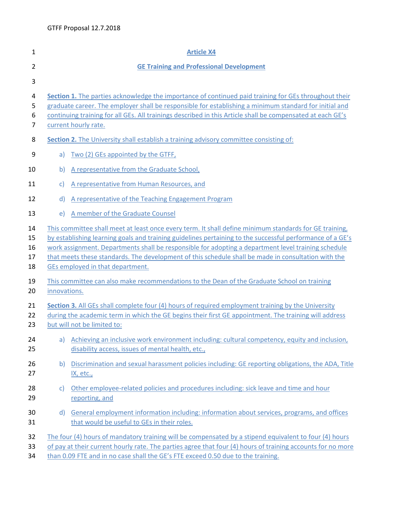| $\mathbf{1}$               | <b>Article X4</b>                                                                                                                                                                                                                                                                                                                                                                                                                                                     |                                                                                                                                                    |
|----------------------------|-----------------------------------------------------------------------------------------------------------------------------------------------------------------------------------------------------------------------------------------------------------------------------------------------------------------------------------------------------------------------------------------------------------------------------------------------------------------------|----------------------------------------------------------------------------------------------------------------------------------------------------|
| $\overline{2}$             | <b>GE Training and Professional Development</b>                                                                                                                                                                                                                                                                                                                                                                                                                       |                                                                                                                                                    |
| 3                          |                                                                                                                                                                                                                                                                                                                                                                                                                                                                       |                                                                                                                                                    |
| 4<br>5<br>6<br>7           | Section 1. The parties acknowledge the importance of continued paid training for GEs throughout their<br>graduate career. The employer shall be responsible for establishing a minimum standard for initial and<br>continuing training for all GEs. All trainings described in this Article shall be compensated at each GE's<br>current hourly rate.                                                                                                                 |                                                                                                                                                    |
| 8                          | <b>Section 2.</b> The University shall establish a training advisory committee consisting of:                                                                                                                                                                                                                                                                                                                                                                         |                                                                                                                                                    |
| 9                          | a)                                                                                                                                                                                                                                                                                                                                                                                                                                                                    | Two (2) GEs appointed by the GTFF,                                                                                                                 |
| 10                         | b)                                                                                                                                                                                                                                                                                                                                                                                                                                                                    | A representative from the Graduate School,                                                                                                         |
| 11                         | $\mathsf{c}$                                                                                                                                                                                                                                                                                                                                                                                                                                                          | A representative from Human Resources, and                                                                                                         |
| 12                         | $\mathsf{d}$                                                                                                                                                                                                                                                                                                                                                                                                                                                          | A representative of the Teaching Engagement Program                                                                                                |
| 13                         | e)                                                                                                                                                                                                                                                                                                                                                                                                                                                                    | A member of the Graduate Counsel                                                                                                                   |
| 14<br>15<br>16<br>17<br>18 | This committee shall meet at least once every term. It shall define minimum standards for GE training,<br>by establishing learning goals and training guidelines pertaining to the successful performance of a GE's<br>work assignment. Departments shall be responsible for adopting a department level training schedule<br>that meets these standards. The development of this schedule shall be made in consultation with the<br>GEs employed in that department. |                                                                                                                                                    |
| 19<br>20                   | innovations.                                                                                                                                                                                                                                                                                                                                                                                                                                                          | This committee can also make recommendations to the Dean of the Graduate School on training                                                        |
| 21<br>22<br>23             | Section 3. All GEs shall complete four (4) hours of required employment training by the University<br>during the academic term in which the GE begins their first GE appointment. The training will address<br>but will not be limited to:                                                                                                                                                                                                                            |                                                                                                                                                    |
| 24<br>25                   | a)                                                                                                                                                                                                                                                                                                                                                                                                                                                                    | Achieving an inclusive work environment including: cultural competency, equity and inclusion,<br>disability access, issues of mental health, etc., |
| 26<br>27                   | b)                                                                                                                                                                                                                                                                                                                                                                                                                                                                    | Discrimination and sexual harassment policies including: GE reporting obligations, the ADA, Title<br><u>IX, etc.,</u>                              |
| 28<br>29                   | C)                                                                                                                                                                                                                                                                                                                                                                                                                                                                    | Other employee-related policies and procedures including: sick leave and time and hour<br>reporting, and                                           |
| 30<br>31                   | d)                                                                                                                                                                                                                                                                                                                                                                                                                                                                    | General employment information including: information about services, programs, and offices<br>that would be useful to GEs in their roles.         |
| 32<br>33<br>34             | The four (4) hours of mandatory training will be compensated by a stipend equivalent to four (4) hours<br>of pay at their current hourly rate. The parties agree that four (4) hours of training accounts for no more<br>than 0.09 FTE and in no case shall the GE's FTE exceed 0.50 due to the training.                                                                                                                                                             |                                                                                                                                                    |